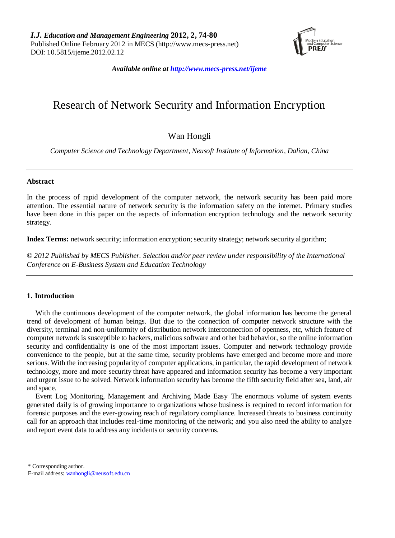

*Available online at http://www.mecs-press.net/ijeme*

# Research of Network Security and Information Encryption

## Wan Hongli

*Computer Science and Technology Department, Neusoft Institute of Information, Dalian, China*

## **Abstract**

In the process of rapid development of the computer network, the network security has been paid more attention. The essential nature of network security is the information safety on the internet. Primary studies have been done in this paper on the aspects of information encryption technology and the network security strategy.

**Index Terms:** network security; information encryption; security strategy; network security algorithm;

*© 2012 Published by MECS Publisher. Selection and/or peer review under responsibility of the International Conference on E-Business System and Education Technology*

## **1. Introduction**

With the continuous development of the computer network, the global information has become the general trend of development of human beings. But due to the connection of computer network structure with the diversity, terminal and non-uniformity of distribution network interconnection of openness, etc, which feature of computer network is susceptible to hackers, malicious software and other bad behavior, so the online information security and confidentiality is one of the most important issues. Computer and network technology provide convenience to the people, but at the same time, security problems have emerged and become more and more serious. With the increasing popularity of computer applications, in particular, the rapid development of network technology, more and more security threat have appeared and information security has become a very important and urgent issue to be solved. Network information security has become the fifth security field after sea, land, air and space.

Event Log Monitoring, Management and Archiving Made Easy The enormous volume of system events generated daily is of growing importance to organizations whose business is required to record information for forensic purposes and the ever-growing reach of regulatory compliance. Increased threats to business continuity call for an approach that includes real-time monitoring of the network; and you also need the ability to analyze and report event data to address any incidents or security concerns.

\* Corresponding author.

E-mail address: [wanhongli@neusoft.edu.cn](mailto:wanhongli@neusoft.edu.cn)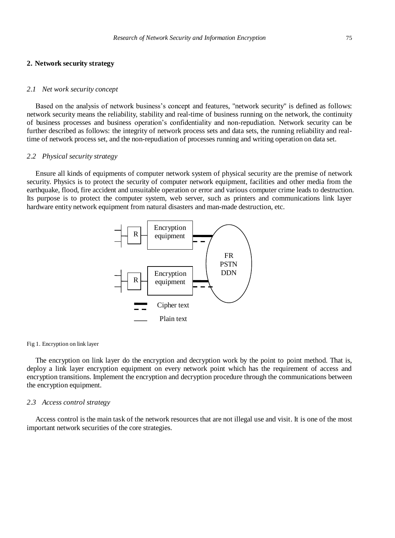#### **2. Network security strategy**

#### *2.1 Net work security concept*

Based on the analysis of network business's concept and features, "network security" is defined as follows: network security means the reliability, stability and real-time of business running on the network, the continuity of business processes and business operation's confidentiality and non-repudiation. Network security can be further described as follows: the integrity of network process sets and data sets, the running reliability and realtime of network process set, and the non-repudiation of processes running and writing operation on data set.

#### *2.2 Physical security strategy*

Ensure all kinds of equipments of computer network system of physical security are the premise of network security. Physics is to protect the security of computer network equipment, facilities and other media from the earthquake, flood, fire accident and unsuitable operation or error and various computer crime leads to destruction. Its purpose is to protect the computer system, web server, such as printers and communications link layer hardware entity network equipment from natural disasters and man-made destruction, etc.



#### Fig 1. Encryption on link layer

The encryption on link layer do the encryption and decryption work by the point to point method. That is, deploy a link layer encryption equipment on every network point which has the requirement of access and encryption transitions. Implement the encryption and decryption procedure through the communications between the encryption equipment.

#### *2.3 Access control strategy*

Access control is the main task of the network resources that are not illegal use and visit. It is one of the most important network securities of the core strategies.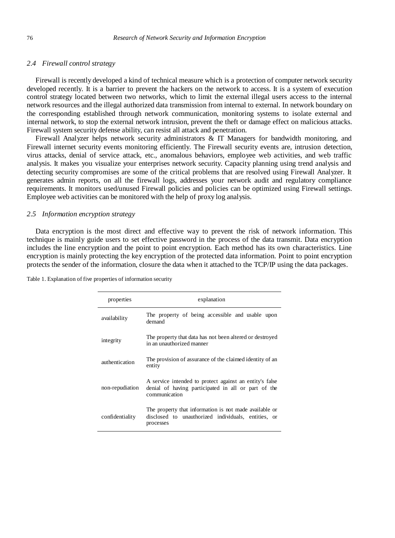## *2.4 Firewall control strategy*

Firewall is recently developed a kind of technical measure which is a protection of computer network security developed recently. It is a barrier to prevent the hackers on the network to access. It is a system of execution control strategy located between two networks, which to limit the external illegal users access to the internal network resources and the illegal authorized data transmission from internal to external. In network boundary on the corresponding established through network communication, monitoring systems to isolate external and internal network, to stop the external network intrusion, prevent the theft or damage effect on malicious attacks. Firewall system security defense ability, can resist all attack and penetration.

Firewall Analyzer helps network security administrators & IT Managers for bandwidth monitoring, and Firewall internet security events monitoring efficiently. The Firewall security events are, intrusion detection, virus attacks, denial of service attack, etc., anomalous behaviors, employee web activities, and web traffic analysis. It makes you visualize your enterprises network security. Capacity planning using trend analysis and detecting security compromises are some of the critical problems that are resolved using Firewall Analyzer. It generates admin reports, on all the firewall logs, addresses your network audit and regulatory compliance requirements. It monitors used/unused Firewall policies and policies can be optimized using Firewall settings. Employee web activities can be monitored with the help of proxy log analysis.

## *2.5 Information encryption strategy*

Data encryption is the most direct and effective way to prevent the risk of network information. This technique is mainly guide users to set effective password in the process of the data transmit. Data encryption includes the line encryption and the point to point encryption. Each method has its own characteristics. Line encryption is mainly protecting the key encryption of the protected data information. Point to point encryption protects the sender of the information, closure the data when it attached to the TCP/IP using the data packages.

| properties      | explanation                                                                                                                     |
|-----------------|---------------------------------------------------------------------------------------------------------------------------------|
| availability    | The property of being accessible and usable upon<br>demand                                                                      |
| integrity       | The property that data has not been altered or destroyed<br>in an unauthorized manner                                           |
| authentication  | The provision of assurance of the claimed identity of an<br>entity                                                              |
| non-repudiation | A service intended to protect against an entity's false<br>denial of having participated in all or part of the<br>communication |
| confidentiality | The property that information is not made available or<br>disclosed to unauthorized individuals, entities, or<br>processes      |

Table 1. Explanation of five properties of information security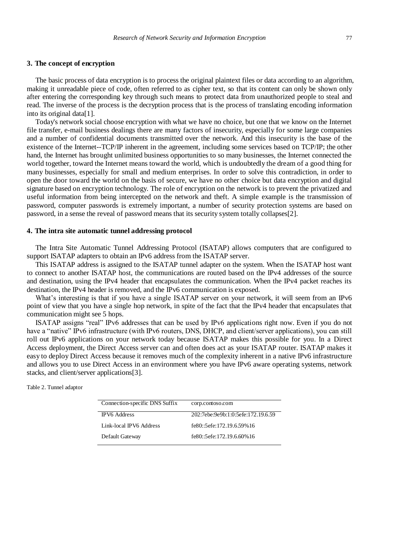#### **3. The concept of encryption**

The basic process of data encryption is to process the original plaintext files or data according to an algorithm, making it unreadable piece of code, often referred to as cipher text, so that its content can only be shown only after entering the corresponding key through such means to protect data from unauthorized people to steal and read. The inverse of the process is the decryption process that is the process of translating encoding information into its original data[1].

Today's network social choose encryption with what we have no choice, but one that we know on the Internet file transfer, e-mail business dealings there are many factors of insecurity, especially for some large companies and a number of confidential documents transmitted over the network. And this insecurity is the base of the existence of the Internet--TCP/IP inherent in the agreement, including some services based on TCP/IP; the other hand, the Internet has brought unlimited business opportunities to so many businesses, the Internet connected the world together, toward the Internet means toward the world, which is undoubtedly the dream of a good thing for many businesses, especially for small and medium enterprises. In order to solve this contradiction, in order to open the door toward the world on the basis of secure, we have no other choice but data encryption and digital signature based on encryption technology. The role of encryption on the network is to prevent the privatized and useful information from being intercepted on the network and theft. A simple example is the transmission of password, computer passwords is extremely important, a number of security protection systems are based on password, in a sense the reveal of password means that its security system totally collapses[2].

#### **4. The intra site automatic tunnel addressing protocol**

The Intra Site Automatic Tunnel Addressing Protocol (ISATAP) allows computers that are configured to support ISATAP adapters to obtain an IPv6 address from the ISATAP server.

This ISATAP address is assigned to the ISATAP tunnel adapter on the system. When the ISATAP host want to connect to another ISATAP host, the communications are routed based on the IPv4 addresses of the source and destination, using the IPv4 header that encapsulates the communication. When the IPv4 packet reaches its destination, the IPv4 header is removed, and the IPv6 communication is exposed.

What's interesting is that if you have a single ISATAP server on your network, it will seem from an IPv6 point of view that you have a single hop network, in spite of the fact that the IPv4 header that encapsulates that communication might see 5 hops.

ISATAP assigns "real" IPv6 addresses that can be used by IPv6 applications right now. Even if you do not have a "native" IPv6 infrastructure (with IPv6 routers, DNS, DHCP, and client/server applications), you can still roll out IPv6 applications on your network today because ISATAP makes this possible for you. In a Direct Access deployment, the Direct Access server can and often does act as your ISATAP router. ISATAP makes it easy to deploy Direct Access because it removes much of the complexity inherent in a native IPv6 infrastructure and allows you to use Direct Access in an environment where you have IPv6 aware operating systems, network stacks, and client/server applications[3].

Table 2. Tunnel adaptor

| Connection-specific DNS Suffix | corp.contoso.com                   |
|--------------------------------|------------------------------------|
| <b>IPV6</b> Address            | 202:7ebe:9e9b:1:0:5efe:172.19.6.59 |
| Link-local IPV6 Address        | fe80::5efe:172.19.6.59%16          |
| Default Gateway                | fe80::5efe:172.19.6.60%16          |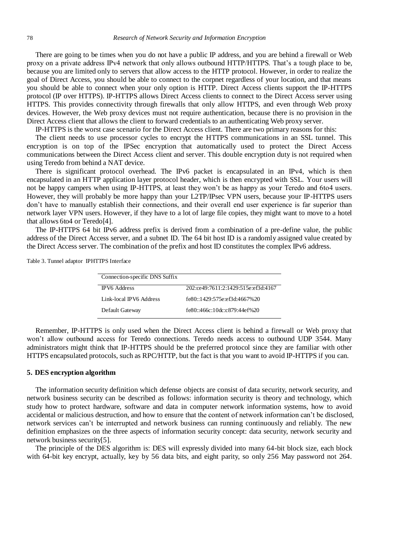There are going to be times when you do not have a public IP address, and you are behind a firewall or Web proxy on a private address IPv4 network that only allows outbound HTTP/HTTPS. That's a tough place to be, because you are limited only to servers that allow access to the HTTP protocol. However, in order to realize the goal of Direct Access, you should be able to connect to the corpnet regardless of your location, and that means you should be able to connect when your only option is HTTP. Direct Access clients support the IP-HTTPS protocol (IP over HTTPS). IP-HTTPS allows Direct Access clients to connect to the Direct Access server using HTTPS. This provides connectivity through firewalls that only allow HTTPS, and even through Web proxy devices. However, the Web proxy devices must not require authentication, because there is no provision in the Direct Access client that allows the client to forward credentials to an authenticating Web proxy server.

IP-HTTPS is the worst case scenario for the Direct Access client. There are two primary reasons for this:

The client needs to use processor cycles to encrypt the HTTPS communications in an SSL tunnel. This encryption is on top of the IPSec encryption that automatically used to protect the Direct Access communications between the Direct Access client and server. This double encryption duty is not required when using Teredo from behind a NAT device.

There is significant protocol overhead. The IPv6 packet is encapsulated in an IPv4, which is then encapsulated in an HTTP application layer protocol header, which is then encrypted with SSL. Your users will not be happy campers when using IP-HTTPS, at least they won't be as happy as your Teredo and 6to4 users. However, they will probably be more happy than your L2TP/IPsec VPN users, because your IP-HTTPS users don't have to manually establish their connections, and their overall end user experience is far superior than network layer VPN users. However, if they have to a lot of large file copies, they might want to move to a hotel that allows 6to4 or Teredo[4].

The IP-HTTPS 64 bit IPv6 address prefix is derived from a combination of a pre-define value, the public address of the Direct Access server, and a subnet ID. The 64 bit host ID is a randomly assigned value created by the Direct Access server. The combination of the prefix and host ID constitutes the complex IPv6 address.

Table 3. Tunnel adaptor IPHTTPS Interface

| Connection-specific DNS Suffix |                                     |  |
|--------------------------------|-------------------------------------|--|
| <b>IPV6</b> Address            | 202:ce49:7611:2:1429:515e:ef3d:4167 |  |
| Link-local IPV6 Address        | fe80::1429:575e:ef3d:4667%20        |  |
| Default Gateway                | fe80::466c:10dc:c879:44ef%20        |  |

Remember, IP-HTTPS is only used when the Direct Access client is behind a firewall or Web proxy that won't allow outbound access for Teredo connections. Teredo needs access to outbound UDP 3544. Many administrators might think that IP-HTTPS should be the preferred protocol since they are familiar with other HTTPS encapsulated protocols, such as RPC/HTTP, but the fact is that you want to avoid IP-HTTPS if you can.

#### **5. DES encryption algorithm**

The information security definition which defense objects are consist of data security, network security, and network business security can be described as follows: information security is theory and technology, which study how to protect hardware, software and data in computer network information systems, how to avoid accidental or malicious destruction, and how to ensure that the content of network information can't be disclosed, network services can't be interrupted and network business can running continuously and reliably. The new definition emphasizes on the three aspects of information security concept: data security, network security and network business security[5].

The principle of the DES algorithm is: DES will expressly divided into many 64-bit block size, each block with 64-bit key encrypt, actually, key by 56 data bits, and eight parity, so only 256 May password not 264.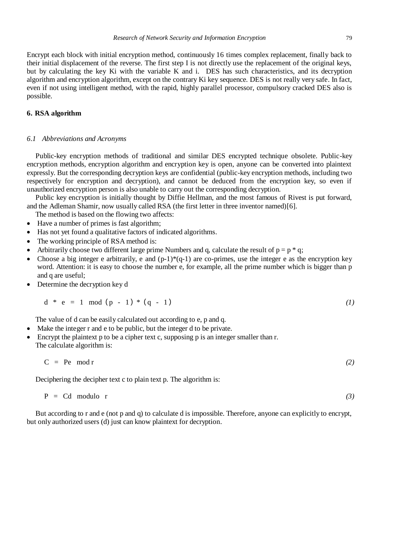Encrypt each block with initial encryption method, continuously 16 times complex replacement, finally back to their initial displacement of the reverse. The first step I is not directly use the replacement of the original keys, but by calculating the key Ki with the variable K and i. DES has such characteristics, and its decryption algorithm and encryption algorithm, except on the contrary Ki key sequence. DES is not really very safe. In fact, even if not using intelligent method, with the rapid, highly parallel processor, compulsory cracked DES also is possible.

## **6. RSA algorithm**

#### *6.1 Abbreviations and Acronyms*

Public-key encryption methods of traditional and similar DES encrypted technique obsolete. Public-key encryption methods, encryption algorithm and encryption key is open, anyone can be converted into plaintext expressly. But the corresponding decryption keys are confidential (public-key encryption methods, including two respectively for encryption and decryption), and cannot be deduced from the encryption key, so even if unauthorized encryption person is also unable to carry out the corresponding decryption.

Public key encryption is initially thought by Diffie Hellman, and the most famous of Rivest is put forward, and the Adleman Shamir, now usually called RSA (the first letter in three inventor named)[6].

The method is based on the flowing two affects:

- Have a number of primes is fast algorithm;
- Has not yet found a qualitative factors of indicated algorithms.
- The working principle of RSA method is:
- Arbitrarily choose two different large prime Numbers and q, calculate the result of  $p = p * q$ ;
- Choose a big integer e arbitrarily, e and  $(p-1)*(q-1)$  are co-primes, use the integer e as the encryption key word. Attention: it is easy to choose the number e, for example, all the prime number which is bigger than p and q are useful;
- Determine the decryption key d

$$
d * e = 1 \mod (p - 1) * (q - 1) \tag{1}
$$

The value of d can be easily calculated out according to e, p and q.

- Make the integer r and e to be public, but the integer d to be private.
- Encrypt the plaintext p to be a cipher text c, supposing p is an integer smaller than r. The calculate algorithm is:

 $C = Pe \mod r$  *(2)* 

Deciphering the decipher text c to plain text p. The algorithm is:

$$
P = Cd \text{ modulo } r \tag{3}
$$

But according to r and e (not p and q) to calculate d is impossible. Therefore, anyone can explicitly to encrypt, but only authorized users (d) just can know plaintext for decryption.